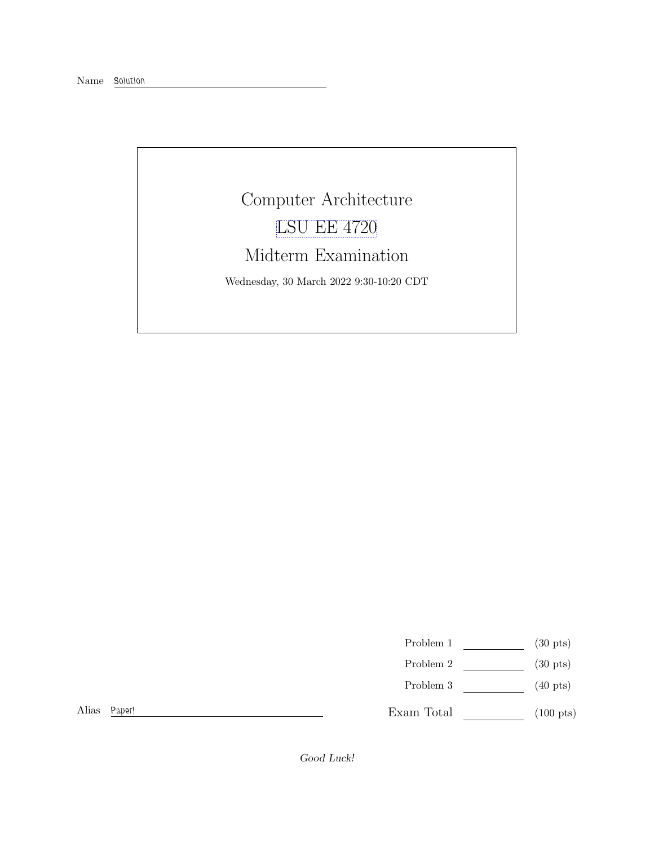## Computer Architecture [LSU EE 4720](https://www.ece.lsu.edu/ee4720/) Midterm Examination Wednesday, 30 March 2022 9:30-10:20 CDT

Problem 1  $(30 \text{ pts})$ 

- Problem 2  $\qquad \qquad$  (30 pts)
- Problem 3 (40 pts)

 $\begin{tabular}{ll} \bf Exam Total & \color{red}{\bf \textcolor{red}{\bf 100~pts}}\\ \end{tabular}$ 

Alias Paper!

Good Luck!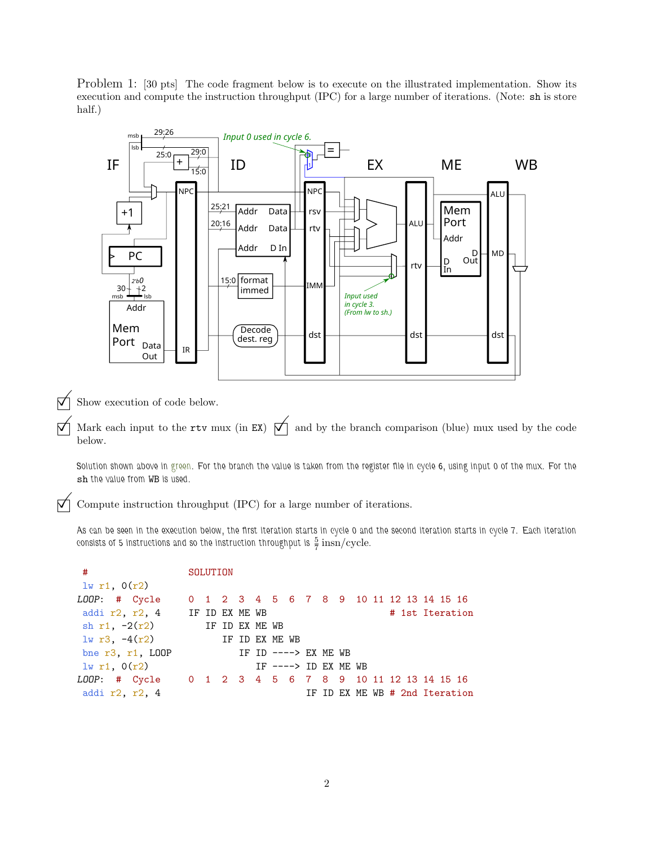Problem 1: [30 pts] The code fragment below is to execute on the illustrated implementation. Show its execution and compute the instruction throughput (IPC) for a large number of iterations. (Note: sh is store half.)



 $\overrightarrow{\bigvee}$  Show execution of code below.

 $\forall$  Mark each input to the rtv mux (in EX)  $\forall$  and by the branch comparison (blue) mux used by the code below.

Solution shown above in green. For the branch the value is taken from the register file in cycle 6, using input 0 of the mux. For the sh the value from WB is used.

 $\triangledown$  Compute instruction throughput (IPC) for a large number of iterations.

As can be seen in the execution below, the first iteration starts in cycle 0 and the second iteration starts in cycle 7. Each iteration consists of 5 instructions and so the instruction throughput is  $\frac{5}{7}$   $\mathrm{insn/cycle.}$ 

| #                                                      | SOLUTION |  |  |                       |  |  |  |                                          |
|--------------------------------------------------------|----------|--|--|-----------------------|--|--|--|------------------------------------------|
| 1w r1, 0(r2)                                           |          |  |  |                       |  |  |  |                                          |
| LOOP: # Cycle                                          |          |  |  |                       |  |  |  | 0 1 2 3 4 5 6 7 8 9 10 11 12 13 14 15 16 |
| addi $r2$ , $r2$ , 4 IF ID EX ME WB                    |          |  |  |                       |  |  |  | # 1st Iteration                          |
| sh $r1$ , $-2(r2)$ IF ID EX ME WB                      |          |  |  |                       |  |  |  |                                          |
| $1w r3, -4(r2)$<br>IF ID EX ME WB                      |          |  |  |                       |  |  |  |                                          |
| bne $r3, r1, L00P$                                     |          |  |  | IF ID $---> EX ME WB$ |  |  |  |                                          |
| $1w$ r1, $0(r2)$                                       |          |  |  | IF $--->$ ID EX ME WB |  |  |  |                                          |
| LOOP: # Cycle 0 1 2 3 4 5 6 7 8 9 10 11 12 13 14 15 16 |          |  |  |                       |  |  |  |                                          |
| addi r2, r2, 4                                         |          |  |  |                       |  |  |  | IF ID EX ME WB # 2nd Iteration           |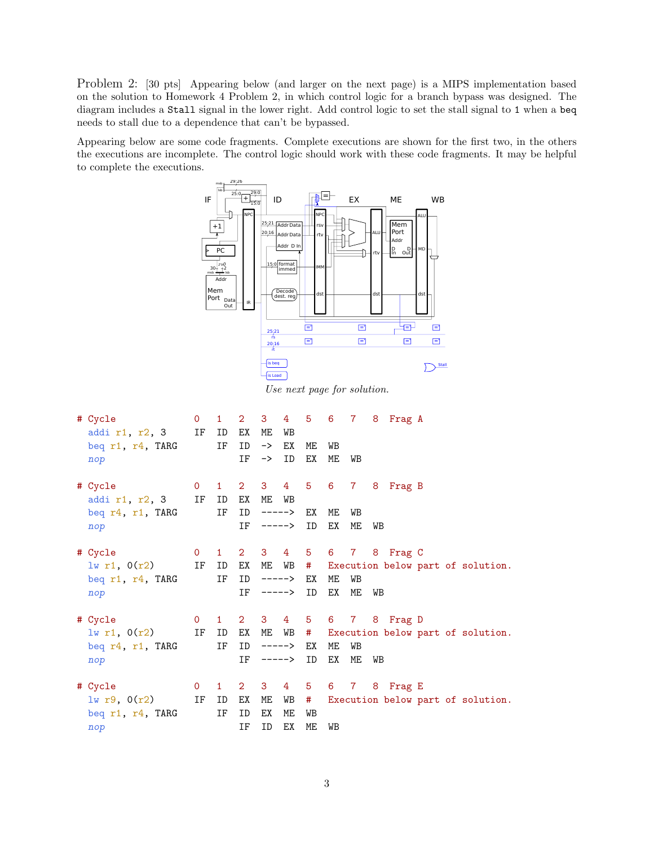Problem 2: [30 pts] Appearing below (and larger on the next page) is a MIPS implementation based on the solution to Homework 4 Problem 2, in which control logic for a branch bypass was designed. The diagram includes a Stall signal in the lower right. Add control logic to set the stall signal to 1 when a beq needs to stall due to a dependence that can't be bypassed.

Appearing below are some code fragments. Complete executions are shown for the first two, in the others the executions are incomplete. The control logic should work with these code fragments. It may be helpful to complete the executions.



Use next page for solution.

| # Cycle<br>addi $r1$ , $r2$ , 3 IF ID<br>beq r1, r4, TARG<br>nop                                                        |       | IF       | EX<br>ID<br>IF | МE<br>$\rightarrow$<br>$\rightarrow$ | WB<br>ЕX<br>ID            | ME<br>ЕX | WB<br>МE | WB       |    | 0 1 2 3 4 5 6 7 8 Frag A |  |                                              |
|-------------------------------------------------------------------------------------------------------------------------|-------|----------|----------------|--------------------------------------|---------------------------|----------|----------|----------|----|--------------------------|--|----------------------------------------------|
| # Cycle<br>addi $r1$ , $r2$ , 3 IF ID<br>beg r4, r1, TARG<br>nop                                                        |       | IF       | EX<br>ID<br>IF | ME                                   | WB<br>-----> EX<br>-----> | ID       | ME<br>ΕX | WB<br>ME | WB | 0 1 2 3 4 5 6 7 8 Frag B |  |                                              |
| # Cycle<br>$1w$ r1, $0(r2)$<br>beg r1, r4, TARG<br>nop                                                                  | IF ID | IF       | ID             | $IF$ -----> $ID$                     | -----> EX                 |          | ME<br>EX | WB<br>ME | WB | 0 1 2 3 4 5 6 7 8 Frag C |  | EX ME WB # Execution below part of solution. |
| # Cycle<br>$\exists w \text{ r1, } 0(r2)$ IF ID EX ME WB # Execution below part of solution.<br>beq r4, r1, TARG<br>nop |       | IF       | ID             | IF $--->$ ID                         | -----> EX                 |          | ME<br>ЕX | WB<br>ME | WB | 0 1 2 3 4 5 6 7 8 Frag D |  |                                              |
| 0 1 2 3 4 5 6 7 8 Frag E<br># Cycle<br>1w r9, 0(r2)<br>beq r1, r4, TARG<br>nop                                          | IF    | ID<br>IF | ЕX<br>ID<br>ΙF | ME<br>ЕX<br>ID                       | $WB$ #<br>МE<br>ЕX        | WB<br>ME | WB       |          |    |                          |  | Execution below part of solution.            |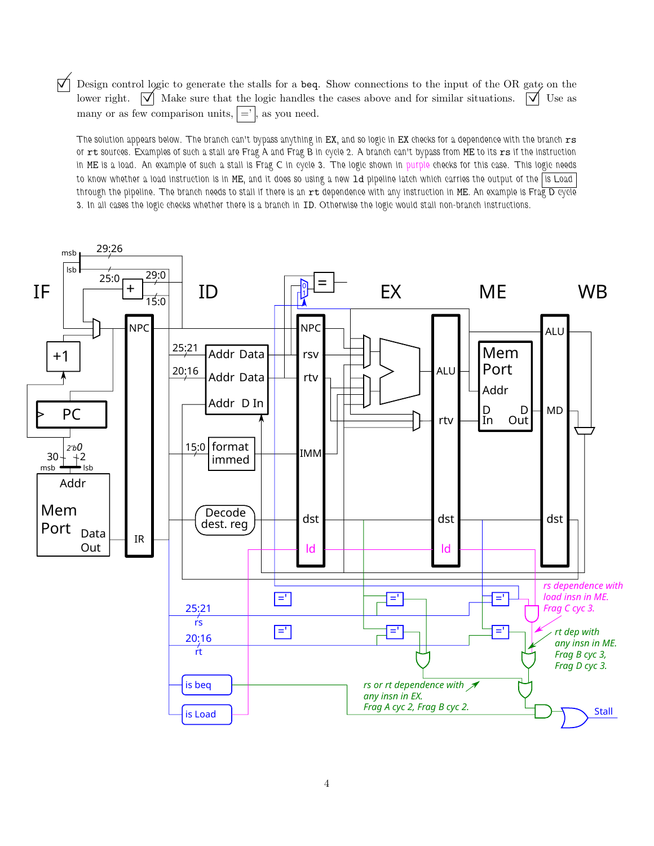$\Box$  Design control logic to generate the stalls for a beq. Show connections to the input of the OR gate on the lower right.  $\Box$  Make sure that the logic handles the cases above and for similar situations.  $\Box$  Use as  $\sqrt{\phantom{a}}$  Make sure that the logic handles the cases above and for similar situations.  $\sqrt{\phantom{a}}$  Use as many or as few comparison units,  $| =' |$ , as you need.

The solution appears below. The branch can't bypass anything in EX, and so logic in EX checks for a dependence with the branch rs or rt sources. Examples of such a stall are Frag A and Frag B in cycle 2. A branch can't bypass from ME to its rs if the instruction in ME is a load. An example of such a stall is Frag C in cycle 3. The logic shown in purple checks for this case. This logic needs to know whether a load instruction is in ME, and it does so using a new 1d pipeline latch which carries the output of the is Load through the pipeline. The branch needs to stall if there is an  $rt$  dependence with any instruction in ME. An example is Frag D cycle 3. In all cases the logic checks whether there is a branch in ID. Otherwise the logic would stall non-branch instructions.

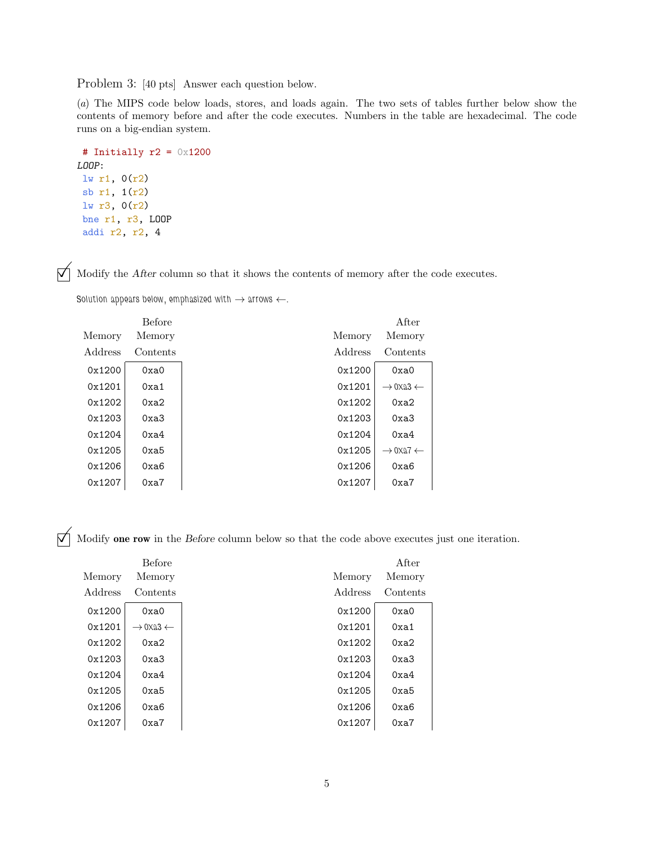Problem 3: [40 pts] Answer each question below.

(a) The MIPS code below loads, stores, and loads again. The two sets of tables further below show the contents of memory before and after the code executes. Numbers in the table are hexadecimal. The code runs on a big-endian system.

```
# Initially r2 = 0x1200
LOOP:
lw r1, 0(r2)
sb r1, 1(r2)
lw r3, 0(r2)
bne r1, r3, LOOP
 addi r2, r2, 4
```
 $\mathcal{M}$  Modify the After column so that it shows the contents of memory after the code executes.

Solution appears below, emphasized with  $\rightarrow$  arrows  $\leftarrow$ .

|         | <b>Before</b> |         | After                           |  |
|---------|---------------|---------|---------------------------------|--|
| Memory  | Memory        | Memory  | Memory                          |  |
| Address | Contents      | Address | Contents                        |  |
| 0x1200  | 0xa0          | 0x1200  | 0xa0                            |  |
| 0x1201  | 0xa1          | 0x1201  | $\rightarrow$ 0xa3 $\leftarrow$ |  |
| 0x1202  | 0xa2          | 0x1202  | 0xa2                            |  |
| 0x1203  | 0xa3          | 0x1203  | 0xa3                            |  |
| 0x1204  | 0xa4          | 0x1204  | 0xa4                            |  |
| 0x1205  | 0xa5          | 0x1205  | $\rightarrow$ 0xa7 $\leftarrow$ |  |
| 0x1206  | 0xa6          | 0x1206  | 0xa6                            |  |
| 0x1207  | 0xa7          | 0x1207  | 0xa7                            |  |

 $\overrightarrow{M}$  Modify one row in the Before column below so that the code above executes just one iteration.

|         | Before                          |         | After    |
|---------|---------------------------------|---------|----------|
| Memory  | Memory                          | Memory  | Memory   |
| Address | Contents                        | Address | Contents |
| 0x1200  | 0xa0                            | 0x1200  | 0xa0     |
| 0x1201  | $\rightarrow$ 0xa3 $\leftarrow$ | 0x1201  | 0xa1     |
| 0x1202  | 0xa2                            | 0x1202  | 0xa2     |
| 0x1203  | 0xa3                            | 0x1203  | 0xa3     |
| 0x1204  | 0xa4                            | 0x1204  | 0xa4     |
| 0x1205  | 0xa5                            | 0x1205  | 0xa5     |
| 0x1206  | 0xa6                            | 0x1206  | 0xa6     |
| 0x1207  | 0xa7                            | 0x1207  | 0xa7     |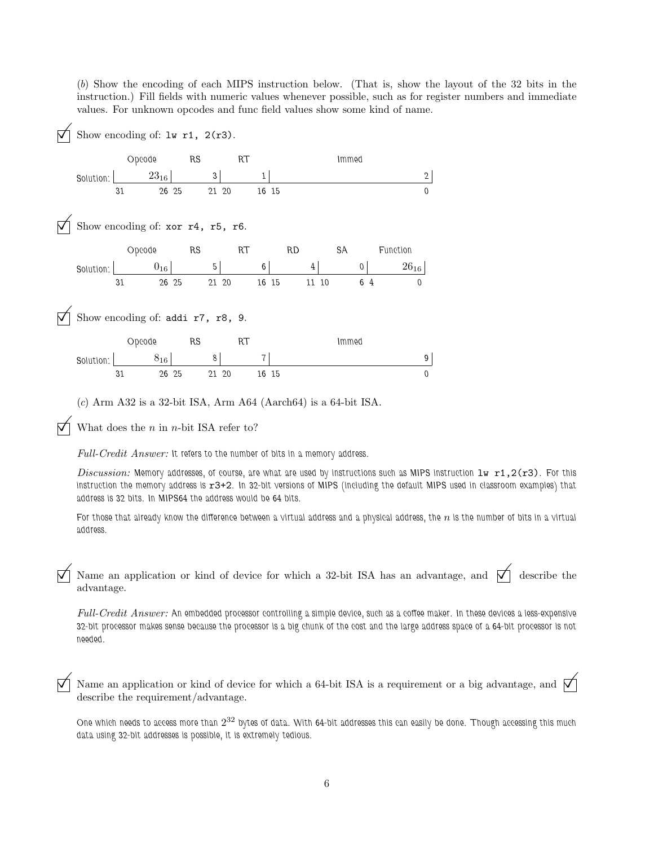(b) Show the encoding of each MIPS instruction below. (That is, show the layout of the 32 bits in the instruction.) Fill fields with numeric values whenever possible, such as for register numbers and immediate values. For unknown opcodes and func field values show some kind of name.

Show encoding of: lw r1, 2(r3). Solution: Opcode  $23_{16}$ 31 26 RS 3 25 21 RT 1 20 16 15 0 Immed 2 Show encoding of: xor r4, r5, r6. Solution: Opcode  $0_{16}$ 31 26 25 21 RS 5 RT 6 20 16 RD 4 15 11 SA  $\vert$ 10 6 Function  $26_{16}\,$ 4 0 Show encoding of: addi r7, r8, 9. Solution: Opcode  $8_{16}$  $\frac{1}{26}$   $\frac{1}{25}$ RS 8 25 21 20 16 RT  $\begin{array}{c|c} 7 & 15 \end{array}$ Immed 9  $15$  0 (c) Arm A32 is a 32-bit ISA, Arm A64 (Aarch64) is a 64-bit ISA.

 $\triangledown$  What does the *n* in *n*-bit ISA refer to?

Full-Credit Answer: It refers to the number of bits in a memory address.

Discussion: Memory addresses, of course, are what are used by instructions such as MIPS instruction  $1w$  r1,2(r3). For this instruction the memory address is r3+2. In 32-bit versions of MIPS (including the default MIPS used in classroom examples) that address is 32 bits. In MIPS64 the address would be 64 bits.

For those that already know the difference between a virtual address and a physical address, the  $n$  is the number of bits in a virtual address.

Name an application or kind of device for which a 32-bit ISA has an advantage, and  $\vert \nabla \vert$  describe the advantage.

Full-Credit Answer: An embedded processor controlling a simple device, such as a coffee maker. In these devices a less-expensive 32-bit processor makes sense because the processor is a big chunk of the cost and the large address space of a 64-bit processor is not needed.

 $\nabla$  Name an application or kind of device for which a 64-bit ISA is a requirement or a big advantage, and  $\nabla$ describe the requirement/advantage.

One which needs to access more than  $2^{32}$  bytes of data. With 64-bit addresses this can easily be done. Though accessing this much data using 32-bit addresses is possible, it is extremely tedious.